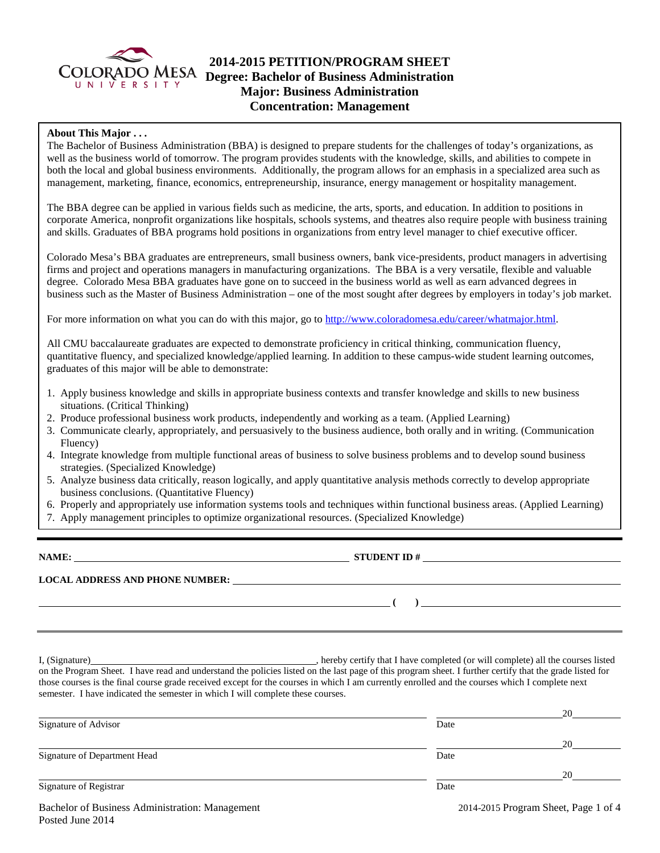

## **2014-2015 PETITION/PROGRAM SHEET** COLORADO MESA Degree: Bachelor of Business Administration **Major: Business Administration Concentration: Management**

### **About This Major . . .**

The Bachelor of Business Administration (BBA) is designed to prepare students for the challenges of today's organizations, as well as the business world of tomorrow. The program provides students with the knowledge, skills, and abilities to compete in both the local and global business environments. Additionally, the program allows for an emphasis in a specialized area such as management, marketing, finance, economics, entrepreneurship, insurance, energy management or hospitality management.

The BBA degree can be applied in various fields such as medicine, the arts, sports, and education. In addition to positions in corporate America, nonprofit organizations like hospitals, schools systems, and theatres also require people with business training and skills. Graduates of BBA programs hold positions in organizations from entry level manager to chief executive officer.

Colorado Mesa's BBA graduates are entrepreneurs, small business owners, bank vice-presidents, product managers in advertising firms and project and operations managers in manufacturing organizations. The BBA is a very versatile, flexible and valuable degree. Colorado Mesa BBA graduates have gone on to succeed in the business world as well as earn advanced degrees in business such as the Master of Business Administration – one of the most sought after degrees by employers in today's job market.

For more information on what you can do with this major, go to [http://www.coloradomesa.edu/career/whatmajor.html.](http://www.coloradomesa.edu/career/whatmajor.html)

All CMU baccalaureate graduates are expected to demonstrate proficiency in critical thinking, communication fluency, quantitative fluency, and specialized knowledge/applied learning. In addition to these campus-wide student learning outcomes, graduates of this major will be able to demonstrate:

- 1. Apply business knowledge and skills in appropriate business contexts and transfer knowledge and skills to new business situations. (Critical Thinking)
- 2. Produce professional business work products, independently and working as a team. (Applied Learning)
- 3. Communicate clearly, appropriately, and persuasively to the business audience, both orally and in writing. (Communication Fluency)
- 4. Integrate knowledge from multiple functional areas of business to solve business problems and to develop sound business strategies. (Specialized Knowledge)
- 5. Analyze business data critically, reason logically, and apply quantitative analysis methods correctly to develop appropriate business conclusions. (Quantitative Fluency)
- 6. Properly and appropriately use information systems tools and techniques within functional business areas. (Applied Learning)
- 7. Apply management principles to optimize organizational resources. (Specialized Knowledge)

**NAME: STUDENT ID #**

**LOCAL ADDRESS AND PHONE NUMBER:**

**( )** 

I, (Signature) **Solution** , hereby certify that I have completed (or will complete) all the courses listed on the Program Sheet. I have read and understand the policies listed on the last page of this program sheet. I further certify that the grade listed for those courses is the final course grade received except for the courses in which I am currently enrolled and the courses which I complete next semester. I have indicated the semester in which I will complete these courses.

|                              |      | 20 |
|------------------------------|------|----|
| Signature of Advisor         | Date |    |
|                              |      | 20 |
| Signature of Department Head | Date |    |
|                              |      | 20 |
| Signature of Registrar       | Date |    |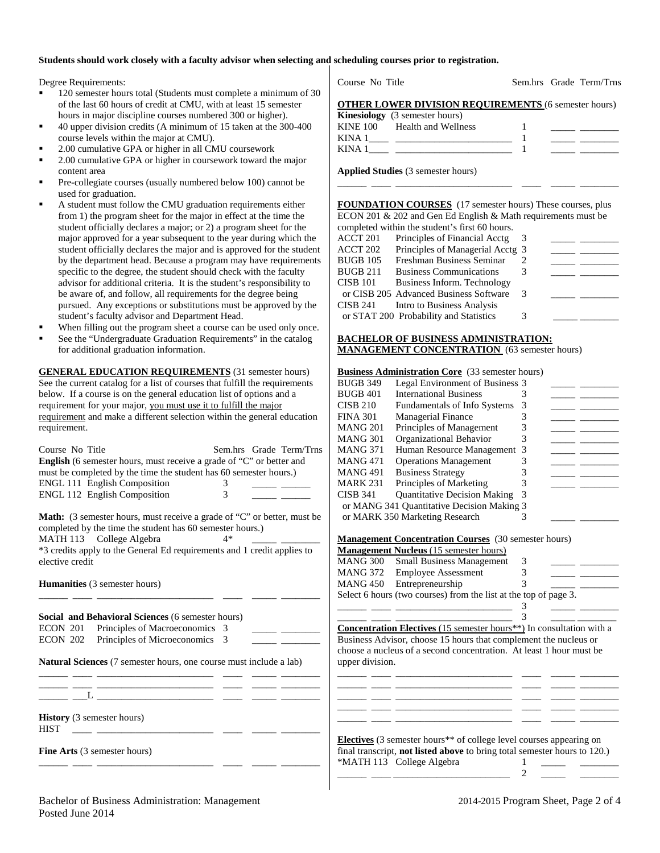#### **Students should work closely with a faculty advisor when selecting and scheduling courses prior to registration.**

Degree Requirements:

- 120 semester hours total (Students must complete a minimum of 30 of the last 60 hours of credit at CMU, with at least 15 semester hours in major discipline courses numbered 300 or higher).
- 40 upper division credits (A minimum of 15 taken at the 300-400 course levels within the major at CMU).
- 2.00 cumulative GPA or higher in all CMU coursework
- 2.00 cumulative GPA or higher in coursework toward the major content area
- Pre-collegiate courses (usually numbered below 100) cannot be used for graduation.
- A student must follow the CMU graduation requirements either from 1) the program sheet for the major in effect at the time the student officially declares a major; or 2) a program sheet for the major approved for a year subsequent to the year during which the student officially declares the major and is approved for the student by the department head. Because a program may have requirements specific to the degree, the student should check with the faculty advisor for additional criteria. It is the student's responsibility to be aware of, and follow, all requirements for the degree being pursued. Any exceptions or substitutions must be approved by the student's faculty advisor and Department Head.
- When filling out the program sheet a course can be used only once.
- See the "Undergraduate Graduation Requirements" in the catalog for additional graduation information.

**GENERAL EDUCATION REQUIREMENTS** (31 semester hours) See the current catalog for a list of courses that fulfill the requirements below. If a course is on the general education list of options and a requirement for your major, you must use it to fulfill the major requirement and make a different selection within the general education requirement.

| Course No Title                                                             |   | Sem.hrs Grade Term/Trns |
|-----------------------------------------------------------------------------|---|-------------------------|
| <b>English</b> (6 semester hours, must receive a grade of "C" or better and |   |                         |
| must be completed by the time the student has 60 semester hours.)           |   |                         |
| <b>ENGL 111 English Composition</b>                                         |   |                         |
| <b>ENGL 112 English Composition</b>                                         | 3 |                         |
|                                                                             |   |                         |

**Math:** (3 semester hours, must receive a grade of "C" or better, must be completed by the time the student has 60 semester hours.) MATH 113 College Algebra 4\* \*3 credits apply to the General Ed requirements and 1 credit applies to elective credit

\_\_\_\_\_\_ \_\_\_\_ \_\_\_\_\_\_\_\_\_\_\_\_\_\_\_\_\_\_\_\_\_\_\_\_ \_\_\_\_ \_\_\_\_\_ \_\_\_\_\_\_\_\_

|  | <b>Humanities</b> (3 semester hours) |  |  |  |
|--|--------------------------------------|--|--|--|
|--|--------------------------------------|--|--|--|

**Social and Behavioral Sciences** (6 semester hours) ECON 201 Principles of Macroeconomics 3 ECON 202 Principles of Microeconomics 3 **Natural Sciences** (7 semester hours, one course must include a lab) \_\_\_\_\_\_ \_\_\_\_ \_\_\_\_\_\_\_\_\_\_\_\_\_\_\_\_\_\_\_\_\_\_\_\_ \_\_\_\_ \_\_\_\_\_ \_\_\_\_\_\_\_\_

\_\_\_\_\_\_ \_\_\_\_ \_\_\_\_\_\_\_\_\_\_\_\_\_\_\_\_\_\_\_\_\_\_\_\_ \_\_\_\_ \_\_\_\_\_ \_\_\_\_\_\_\_\_

\_\_\_\_\_\_ \_\_\_\_ \_\_\_\_\_\_\_\_\_\_\_\_\_\_\_\_\_\_\_\_\_\_\_\_ \_\_\_\_ \_\_\_\_\_ \_\_\_\_\_\_\_\_

**History** (3 semester hours) HIST \_\_\_\_ \_\_\_\_\_\_\_\_\_\_\_\_\_\_\_\_\_\_\_\_\_\_\_\_ \_\_\_\_ \_\_\_\_\_ \_\_\_\_\_\_\_\_

**Fine Arts** (3 semester hours)

Course No Title Sem.hrs Grade Term/Trns

| <b>OTHER LOWER DIVISION REQUIREMENTS (6 semester hours)</b> |  |
|-------------------------------------------------------------|--|
| $\mathbf{V}$ inosiology (2 samastar hours)                  |  |

|          | <b>INIIICSIUIUEV</b> (3 SCHICSICI HUULS) |  |
|----------|------------------------------------------|--|
| KINE 100 | Health and Wellness                      |  |
| KINA     |                                          |  |
| K IN A   |                                          |  |

**Applied Studies** (3 semester hours)

**FOUNDATION COURSES** (17 semester hours) These courses, plus ECON 201 & 202 and Gen Ed English & Math requirements must be completed within the student's first 60 hours.

\_\_\_\_\_\_ \_\_\_\_ \_\_\_\_\_\_\_\_\_\_\_\_\_\_\_\_\_\_\_\_\_\_\_\_ \_\_\_\_ \_\_\_\_\_ \_\_\_\_\_\_\_\_

|                 | completed within the student s first of notifs. |    |  |
|-----------------|-------------------------------------------------|----|--|
| ACCT 201        | Principles of Financial Acctg                   | -3 |  |
| ACCT 202        | Principles of Managerial Acctg 3                |    |  |
| <b>BUGB 105</b> | Freshman Business Seminar                       |    |  |
| <b>BUGB 211</b> | <b>Business Communications</b>                  |    |  |
| <b>CISB 101</b> | Business Inform. Technology                     |    |  |
|                 | or CISB 205 Advanced Business Software          | 3  |  |
| CISB 241        | Intro to Business Analysis                      |    |  |
|                 | or STAT 200 Probability and Statistics          | 3  |  |
|                 |                                                 |    |  |

#### **BACHELOR OF BUSINESS ADMINISTRATION: MANAGEMENT CONCENTRATION** (63 semester hours)

#### **Business Administration Core** (33 semester hours)

| <b>BUGB 401</b><br><b>International Business</b><br><b>CISB 210</b><br><b>Fundamentals of Info Systems</b><br>3<br><b>FINA 301</b><br>Managerial Finance<br><b>MANG 201</b><br>Principles of Management<br><b>MANG 301</b><br>Organizational Behavior<br>3<br><b>MANG 371</b><br>Human Resource Management<br>-3<br><b>MANG471</b><br><b>Operations Management</b><br><b>MANG 491</b><br><b>Business Strategy</b><br>Principles of Marketing<br><b>MARK 231</b><br><b>Quantitative Decision Making</b><br><b>CISB 341</b><br>3<br>or MANG 341 Quantitative Decision Making 3<br>or MARK 350 Marketing Research<br>٦ | <b>BUGB 349</b> | Legal Environment of Business 3 |  |  |
|---------------------------------------------------------------------------------------------------------------------------------------------------------------------------------------------------------------------------------------------------------------------------------------------------------------------------------------------------------------------------------------------------------------------------------------------------------------------------------------------------------------------------------------------------------------------------------------------------------------------|-----------------|---------------------------------|--|--|
|                                                                                                                                                                                                                                                                                                                                                                                                                                                                                                                                                                                                                     |                 |                                 |  |  |
|                                                                                                                                                                                                                                                                                                                                                                                                                                                                                                                                                                                                                     |                 |                                 |  |  |
|                                                                                                                                                                                                                                                                                                                                                                                                                                                                                                                                                                                                                     |                 |                                 |  |  |
|                                                                                                                                                                                                                                                                                                                                                                                                                                                                                                                                                                                                                     |                 |                                 |  |  |
|                                                                                                                                                                                                                                                                                                                                                                                                                                                                                                                                                                                                                     |                 |                                 |  |  |
|                                                                                                                                                                                                                                                                                                                                                                                                                                                                                                                                                                                                                     |                 |                                 |  |  |
|                                                                                                                                                                                                                                                                                                                                                                                                                                                                                                                                                                                                                     |                 |                                 |  |  |
|                                                                                                                                                                                                                                                                                                                                                                                                                                                                                                                                                                                                                     |                 |                                 |  |  |
|                                                                                                                                                                                                                                                                                                                                                                                                                                                                                                                                                                                                                     |                 |                                 |  |  |
|                                                                                                                                                                                                                                                                                                                                                                                                                                                                                                                                                                                                                     |                 |                                 |  |  |
|                                                                                                                                                                                                                                                                                                                                                                                                                                                                                                                                                                                                                     |                 |                                 |  |  |
|                                                                                                                                                                                                                                                                                                                                                                                                                                                                                                                                                                                                                     |                 |                                 |  |  |

**Management Concentration Courses** (30 semester hours)

|                 | <b>Management Nucleus</b> (15 semester hours)                    |   |  |
|-----------------|------------------------------------------------------------------|---|--|
| <b>MANG 300</b> | <b>Small Business Management</b>                                 | 3 |  |
| <b>MANG 372</b> | <b>Employee Assessment</b>                                       |   |  |
|                 | MANG 450 Entrepreneurship                                        |   |  |
|                 | Select 6 hours (two courses) from the list at the top of page 3. |   |  |
|                 |                                                                  |   |  |

\_\_\_\_\_\_ \_\_\_\_ \_\_\_\_\_\_\_\_\_\_\_\_\_\_\_\_\_\_\_\_\_\_\_\_ 3 \_\_\_\_\_ \_\_\_\_\_\_\_\_ **Concentration Electives** (15 semester hours\*\*) In consultation with a Business Advisor, choose 15 hours that complement the nucleus or choose a nucleus of a second concentration. At least 1 hour must be upper division.

| <b>Electives</b> (3 semester hours <sup>**</sup> of college level courses appearing on |                                                                           |  |  |  |  |  |
|----------------------------------------------------------------------------------------|---------------------------------------------------------------------------|--|--|--|--|--|
|                                                                                        | final transcript, not listed above to bring total semester hours to 120.) |  |  |  |  |  |

| *MATH 113 College Algebra |  |  |
|---------------------------|--|--|
|                           |  |  |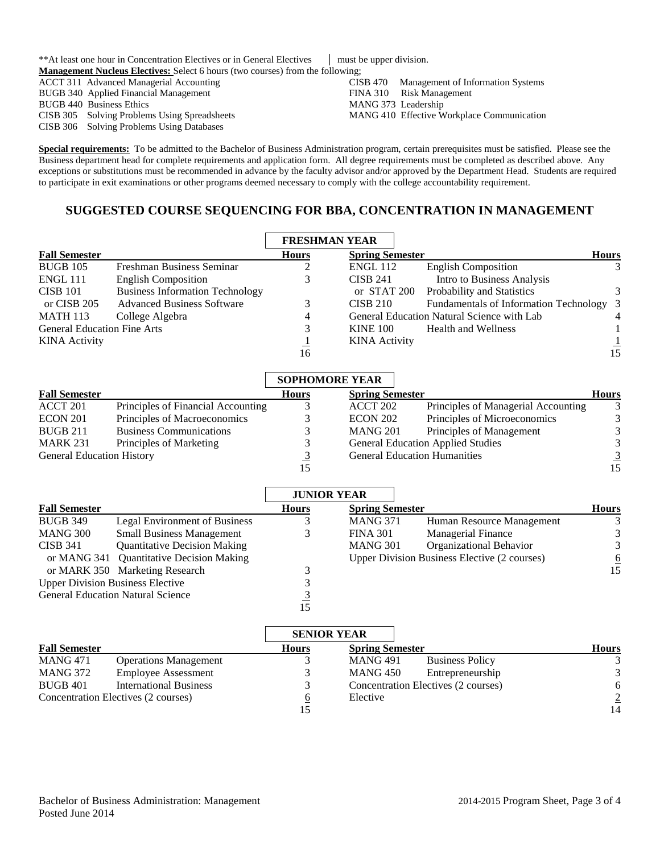\*\*At least one hour in Concentration Electives or in General Electives must be upper division. **Management Nucleus Electives:** Select 6 hours (two courses) from the following;

ACCT 311 Advanced Managerial Accounting BUGB 340 Applied Financial Management BUGB 440 Business Ethics CISB 305 Solving Problems Using Spreadsheets CISB 306 Solving Problems Using Databases

CISB 470 Management of Information Systems FINA 310 Risk Management MANG 373 Leadership MANG 410 Effective Workplace Communication

**Special requirements:** To be admitted to the Bachelor of Business Administration program, certain prerequisites must be satisfied. Please see the Business department head for complete requirements and application form. All degree requirements must be completed as described above. Any exceptions or substitutions must be recommended in advance by the faculty advisor and/or approved by the Department Head. Students are required to participate in exit examinations or other programs deemed necessary to comply with the college accountability requirement.

# **SUGGESTED COURSE SEQUENCING FOR BBA, CONCENTRATION IN MANAGEMENT**

|                                    |                                        | <b>FRESHMAN YEAR</b> |                        |                                            |                |
|------------------------------------|----------------------------------------|----------------------|------------------------|--------------------------------------------|----------------|
| <b>Fall Semester</b>               |                                        | <b>Hours</b>         | <b>Spring Semester</b> |                                            | <b>Hours</b>   |
| <b>BUGB 105</b>                    | Freshman Business Seminar              | ∠                    | <b>ENGL 112</b>        | <b>English Composition</b>                 | 3              |
| ENGL 111                           | <b>English Composition</b>             | 3                    | <b>CISB 241</b>        | Intro to Business Analysis                 |                |
| <b>CISB 101</b>                    | <b>Business Information Technology</b> |                      | or STAT 200            | Probability and Statistics                 | 3              |
| or CISB 205                        | <b>Advanced Business Software</b>      |                      | CISE 210               | Fundamentals of Information Technology 3   |                |
| <b>MATH 113</b>                    | College Algebra                        | 4                    |                        | General Education Natural Science with Lab | $\overline{4}$ |
| <b>General Education Fine Arts</b> |                                        | 3                    | <b>KINE 100</b>        | <b>Health and Wellness</b>                 |                |
| <b>KINA</b> Activity               |                                        |                      | <b>KINA</b> Activity   |                                            |                |
|                                    |                                        | 16                   |                        |                                            | 15             |

|                                  |                                    | <b>SOPHOMORE YEAR</b> |                                     |                                          |              |  |
|----------------------------------|------------------------------------|-----------------------|-------------------------------------|------------------------------------------|--------------|--|
| <b>Fall Semester</b>             |                                    | <b>Hours</b>          | <b>Spring Semester</b>              |                                          | <b>Hours</b> |  |
| ACCT 201                         | Principles of Financial Accounting |                       | ACCT 202                            | Principles of Managerial Accounting      |              |  |
| ECON 201                         | Principles of Macroeconomics       |                       | ECON 202                            | Principles of Microeconomics             | 3            |  |
| <b>BUGB 211</b>                  | <b>Business Communications</b>     |                       | <b>MANG 201</b>                     | Principles of Management                 |              |  |
| <b>MARK 231</b>                  | Principles of Marketing            |                       |                                     | <b>General Education Applied Studies</b> |              |  |
| <b>General Education History</b> |                                    |                       | <b>General Education Humanities</b> |                                          |              |  |
|                                  |                                    |                       |                                     |                                          | 15           |  |

|                                          |                                          | <b>JUNIOR YEAR</b> |                        |                                              |              |
|------------------------------------------|------------------------------------------|--------------------|------------------------|----------------------------------------------|--------------|
| <b>Fall Semester</b>                     |                                          | <b>Hours</b>       | <b>Spring Semester</b> |                                              | <b>Hours</b> |
| <b>BUGB 349</b>                          | Legal Environment of Business            |                    | <b>MANG 371</b>        | Human Resource Management                    |              |
| MANG 300                                 | <b>Small Business Management</b>         |                    | <b>FINA 301</b>        | <b>Managerial Finance</b>                    | 3            |
| <b>CISB 341</b>                          | <b>Quantitative Decision Making</b>      |                    | <b>MANG 301</b>        | Organizational Behavior                      | 3            |
|                                          | or MANG 341 Quantitative Decision Making |                    |                        | Upper Division Business Elective (2 courses) | 6            |
|                                          | or MARK 350 Marketing Research           |                    |                        |                                              | 15           |
| <b>Upper Division Business Elective</b>  |                                          |                    |                        |                                              |              |
| <b>General Education Natural Science</b> |                                          |                    |                        |                                              |              |
|                                          |                                          |                    |                        |                                              |              |

|                                     |                               |              | <b>SENIOR YEAR</b>                        |              |  |
|-------------------------------------|-------------------------------|--------------|-------------------------------------------|--------------|--|
| <b>Fall Semester</b>                |                               | <b>Hours</b> | <b>Spring Semester</b>                    | <b>Hours</b> |  |
| <b>MANG 471</b>                     | <b>Operations Management</b>  |              | <b>MANG 491</b><br><b>Business Policy</b> |              |  |
| MANG 372                            | <b>Employee Assessment</b>    |              | <b>MANG 450</b><br>Entrepreneurship       | $\mathbf{R}$ |  |
| <b>BUGB 401</b>                     | <b>International Business</b> |              | Concentration Electives (2 courses)       | 6            |  |
| Concentration Electives (2 courses) |                               | $\sigma$     | Elective                                  | 2            |  |
|                                     |                               | 15           |                                           | 14           |  |